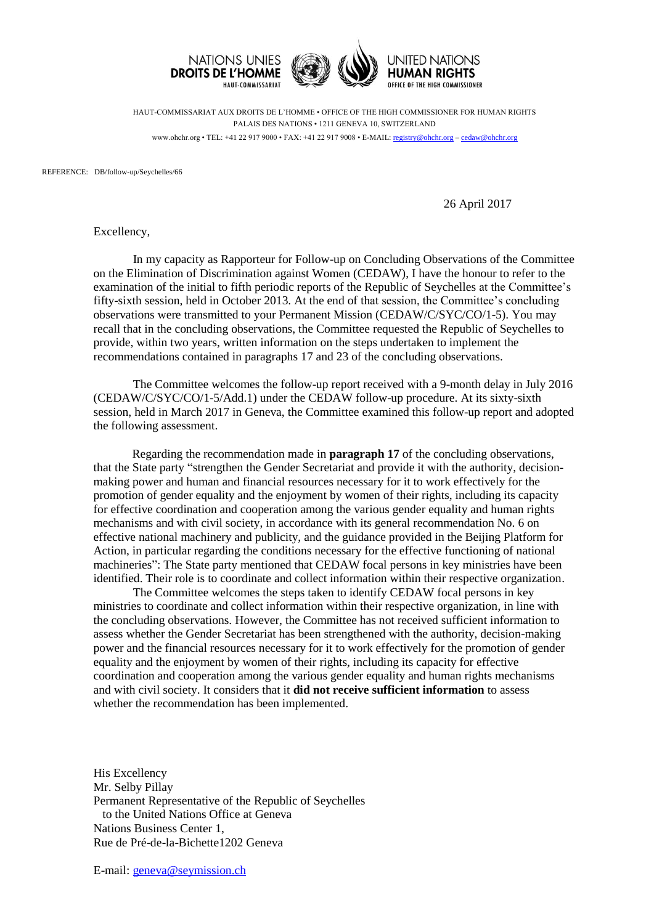

HAUT-COMMISSARIAT AUX DROITS DE L'HOMME • OFFICE OF THE HIGH COMMISSIONER FOR HUMAN RIGHTS PALAIS DES NATIONS • 1211 GENEVA 10, SWITZERLAND www.ohchr.org • TEL: +41 22 917 9000 • FAX: +41 22 917 9008 • E-MAIL: [registry@ohchr.org](mailto:registry@ohchr.org) – [cedaw@ohchr.org](mailto:cedaw@ohchr.org)

REFERENCE: DB/follow-up/Seychelles/66

26 April 2017

Excellency,

In my capacity as Rapporteur for Follow-up on Concluding Observations of the Committee on the Elimination of Discrimination against Women (CEDAW), I have the honour to refer to the examination of the initial to fifth periodic reports of the Republic of Seychelles at the Committee's fifty-sixth session, held in October 2013. At the end of that session, the Committee's concluding observations were transmitted to your Permanent Mission (CEDAW/C/SYC/CO/1-5). You may recall that in the concluding observations, the Committee requested the Republic of Seychelles to provide, within two years, written information on the steps undertaken to implement the recommendations contained in paragraphs 17 and 23 of the concluding observations.

The Committee welcomes the follow-up report received with a 9-month delay in July 2016 (CEDAW/C/SYC/CO/1-5/Add.1) under the CEDAW follow-up procedure. At its sixty-sixth session, held in March 2017 in Geneva, the Committee examined this follow-up report and adopted the following assessment.

Regarding the recommendation made in **paragraph 17** of the concluding observations, that the State party "strengthen the Gender Secretariat and provide it with the authority, decisionmaking power and human and financial resources necessary for it to work effectively for the promotion of gender equality and the enjoyment by women of their rights, including its capacity for effective coordination and cooperation among the various gender equality and human rights mechanisms and with civil society, in accordance with its general recommendation No. 6 on effective national machinery and publicity, and the guidance provided in the Beijing Platform for Action, in particular regarding the conditions necessary for the effective functioning of national machineries": The State party mentioned that CEDAW focal persons in key ministries have been identified. Their role is to coordinate and collect information within their respective organization.

The Committee welcomes the steps taken to identify CEDAW focal persons in key ministries to coordinate and collect information within their respective organization, in line with the concluding observations. However, the Committee has not received sufficient information to assess whether the Gender Secretariat has been strengthened with the authority, decision-making power and the financial resources necessary for it to work effectively for the promotion of gender equality and the enjoyment by women of their rights, including its capacity for effective coordination and cooperation among the various gender equality and human rights mechanisms and with civil society. It considers that it **did not receive sufficient information** to assess whether the recommendation has been implemented.

His Excellency Mr. Selby Pillay Permanent Representative of the Republic of Seychelles to the United Nations Office at Geneva Nations Business Center 1, Rue de Pré-de-la-Bichette1202 Geneva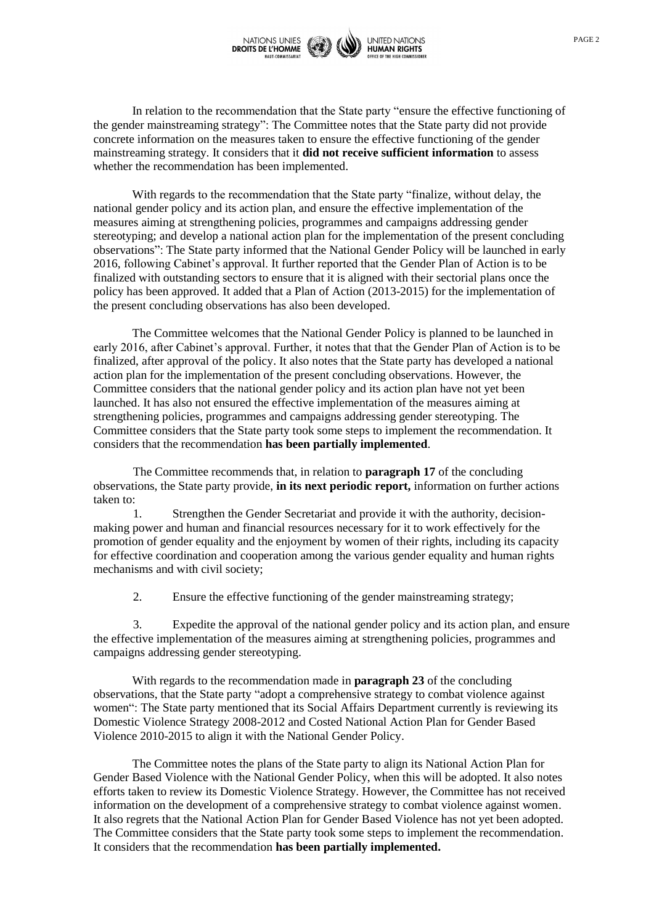

In relation to the recommendation that the State party "ensure the effective functioning of the gender mainstreaming strategy": The Committee notes that the State party did not provide concrete information on the measures taken to ensure the effective functioning of the gender mainstreaming strategy. It considers that it **did not receive sufficient information** to assess whether the recommendation has been implemented.

With regards to the recommendation that the State party "finalize, without delay, the national gender policy and its action plan, and ensure the effective implementation of the measures aiming at strengthening policies, programmes and campaigns addressing gender stereotyping; and develop a national action plan for the implementation of the present concluding observations": The State party informed that the National Gender Policy will be launched in early 2016, following Cabinet's approval. It further reported that the Gender Plan of Action is to be finalized with outstanding sectors to ensure that it is aligned with their sectorial plans once the policy has been approved. It added that a Plan of Action (2013-2015) for the implementation of the present concluding observations has also been developed.

The Committee welcomes that the National Gender Policy is planned to be launched in early 2016, after Cabinet's approval. Further, it notes that that the Gender Plan of Action is to be finalized, after approval of the policy. It also notes that the State party has developed a national action plan for the implementation of the present concluding observations. However, the Committee considers that the national gender policy and its action plan have not yet been launched. It has also not ensured the effective implementation of the measures aiming at strengthening policies, programmes and campaigns addressing gender stereotyping. The Committee considers that the State party took some steps to implement the recommendation. It considers that the recommendation **has been partially implemented**.

The Committee recommends that, in relation to **paragraph 17** of the concluding observations, the State party provide, **in its next periodic report,** information on further actions taken to:

1. Strengthen the Gender Secretariat and provide it with the authority, decisionmaking power and human and financial resources necessary for it to work effectively for the promotion of gender equality and the enjoyment by women of their rights, including its capacity for effective coordination and cooperation among the various gender equality and human rights mechanisms and with civil society;

2. Ensure the effective functioning of the gender mainstreaming strategy;

3. Expedite the approval of the national gender policy and its action plan, and ensure the effective implementation of the measures aiming at strengthening policies, programmes and campaigns addressing gender stereotyping.

With regards to the recommendation made in **paragraph 23** of the concluding observations, that the State party "adopt a comprehensive strategy to combat violence against women": The State party mentioned that its Social Affairs Department currently is reviewing its Domestic Violence Strategy 2008-2012 and Costed National Action Plan for Gender Based Violence 2010-2015 to align it with the National Gender Policy.

The Committee notes the plans of the State party to align its National Action Plan for Gender Based Violence with the National Gender Policy, when this will be adopted. It also notes efforts taken to review its Domestic Violence Strategy. However, the Committee has not received information on the development of a comprehensive strategy to combat violence against women. It also regrets that the National Action Plan for Gender Based Violence has not yet been adopted. The Committee considers that the State party took some steps to implement the recommendation. It considers that the recommendation **has been partially implemented.**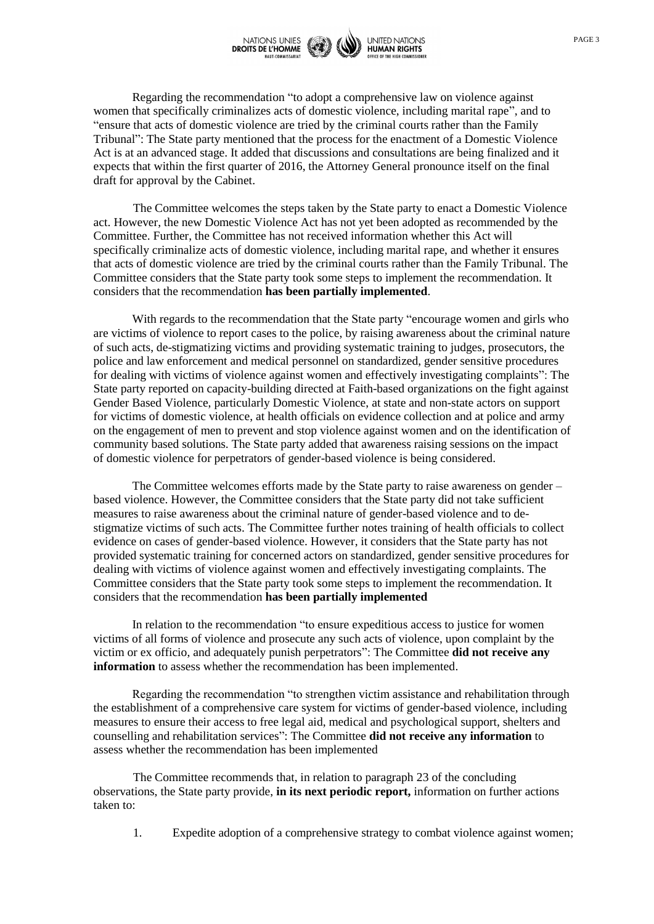

Regarding the recommendation "to adopt a comprehensive law on violence against women that specifically criminalizes acts of domestic violence, including marital rape", and to "ensure that acts of domestic violence are tried by the criminal courts rather than the Family Tribunal": The State party mentioned that the process for the enactment of a Domestic Violence Act is at an advanced stage. It added that discussions and consultations are being finalized and it expects that within the first quarter of 2016, the Attorney General pronounce itself on the final draft for approval by the Cabinet.

The Committee welcomes the steps taken by the State party to enact a Domestic Violence act. However, the new Domestic Violence Act has not yet been adopted as recommended by the Committee. Further, the Committee has not received information whether this Act will specifically criminalize acts of domestic violence, including marital rape, and whether it ensures that acts of domestic violence are tried by the criminal courts rather than the Family Tribunal. The Committee considers that the State party took some steps to implement the recommendation. It considers that the recommendation **has been partially implemented**.

With regards to the recommendation that the State party "encourage women and girls who are victims of violence to report cases to the police, by raising awareness about the criminal nature of such acts, de-stigmatizing victims and providing systematic training to judges, prosecutors, the police and law enforcement and medical personnel on standardized, gender sensitive procedures for dealing with victims of violence against women and effectively investigating complaints": The State party reported on capacity-building directed at Faith-based organizations on the fight against Gender Based Violence, particularly Domestic Violence, at state and non-state actors on support for victims of domestic violence, at health officials on evidence collection and at police and army on the engagement of men to prevent and stop violence against women and on the identification of community based solutions. The State party added that awareness raising sessions on the impact of domestic violence for perpetrators of gender-based violence is being considered.

The Committee welcomes efforts made by the State party to raise awareness on gender – based violence. However, the Committee considers that the State party did not take sufficient measures to raise awareness about the criminal nature of gender-based violence and to destigmatize victims of such acts. The Committee further notes training of health officials to collect evidence on cases of gender-based violence. However, it considers that the State party has not provided systematic training for concerned actors on standardized, gender sensitive procedures for dealing with victims of violence against women and effectively investigating complaints. The Committee considers that the State party took some steps to implement the recommendation. It considers that the recommendation **has been partially implemented**

In relation to the recommendation "to ensure expeditious access to justice for women victims of all forms of violence and prosecute any such acts of violence, upon complaint by the victim or ex officio, and adequately punish perpetrators": The Committee **did not receive any information** to assess whether the recommendation has been implemented.

Regarding the recommendation "to strengthen victim assistance and rehabilitation through the establishment of a comprehensive care system for victims of gender-based violence, including measures to ensure their access to free legal aid, medical and psychological support, shelters and counselling and rehabilitation services": The Committee **did not receive any information** to assess whether the recommendation has been implemented

The Committee recommends that, in relation to paragraph 23 of the concluding observations, the State party provide, **in its next periodic report,** information on further actions taken to:

1. Expedite adoption of a comprehensive strategy to combat violence against women;